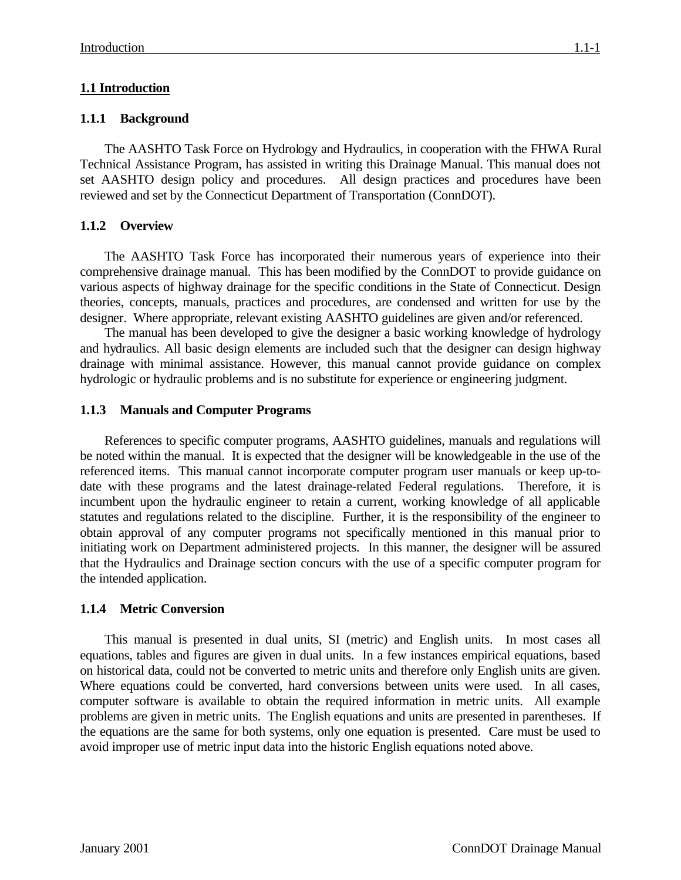# **1.1 Introduction**

### **1.1.1 Background**

The AASHTO Task Force on Hydrology and Hydraulics, in cooperation with the FHWA Rural Technical Assistance Program, has assisted in writing this Drainage Manual. This manual does not set AASHTO design policy and procedures. All design practices and procedures have been reviewed and set by the Connecticut Department of Transportation (ConnDOT).

# **1.1.2 Overview**

The AASHTO Task Force has incorporated their numerous years of experience into their comprehensive drainage manual. This has been modified by the ConnDOT to provide guidance on various aspects of highway drainage for the specific conditions in the State of Connecticut. Design theories, concepts, manuals, practices and procedures, are condensed and written for use by the designer. Where appropriate, relevant existing AASHTO guidelines are given and/or referenced.

The manual has been developed to give the designer a basic working knowledge of hydrology and hydraulics. All basic design elements are included such that the designer can design highway drainage with minimal assistance. However, this manual cannot provide guidance on complex hydrologic or hydraulic problems and is no substitute for experience or engineering judgment.

### **1.1.3 Manuals and Computer Programs**

References to specific computer programs, AASHTO guidelines, manuals and regulations will be noted within the manual. It is expected that the designer will be knowledgeable in the use of the referenced items. This manual cannot incorporate computer program user manuals or keep up-todate with these programs and the latest drainage-related Federal regulations. Therefore, it is incumbent upon the hydraulic engineer to retain a current, working knowledge of all applicable statutes and regulations related to the discipline. Further, it is the responsibility of the engineer to obtain approval of any computer programs not specifically mentioned in this manual prior to initiating work on Department administered projects. In this manner, the designer will be assured that the Hydraulics and Drainage section concurs with the use of a specific computer program for the intended application.

### **1.1.4 Metric Conversion**

This manual is presented in dual units, SI (metric) and English units. In most cases all equations, tables and figures are given in dual units. In a few instances empirical equations, based on historical data, could not be converted to metric units and therefore only English units are given. Where equations could be converted, hard conversions between units were used. In all cases, computer software is available to obtain the required information in metric units. All example problems are given in metric units. The English equations and units are presented in parentheses. If the equations are the same for both systems, only one equation is presented. Care must be used to avoid improper use of metric input data into the historic English equations noted above.